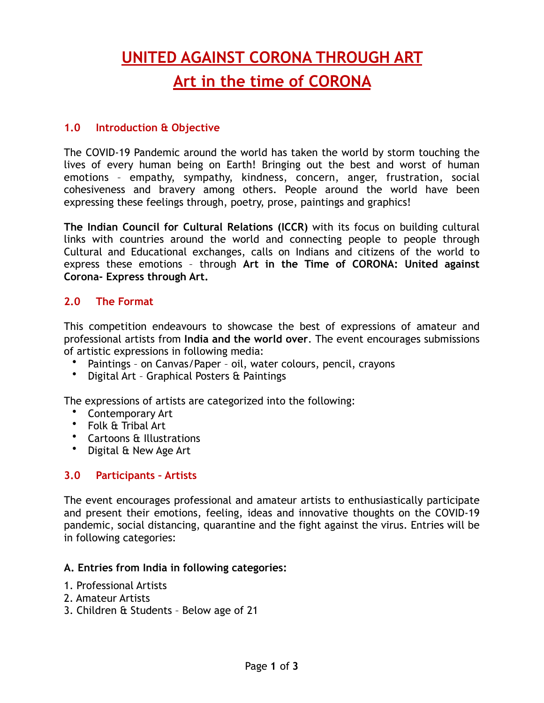# **UNITED AGAINST CORONA THROUGH ART**

# **Art in the time of CORONA**

# **1.0 Introduction & Objective**

The COVID-19 Pandemic around the world has taken the world by storm touching the lives of every human being on Earth! Bringing out the best and worst of human emotions – empathy, sympathy, kindness, concern, anger, frustration, social cohesiveness and bravery among others. People around the world have been expressing these feelings through, poetry, prose, paintings and graphics!

**The Indian Council for Cultural Relations (ICCR)** with its focus on building cultural links with countries around the world and connecting people to people through Cultural and Educational exchanges, calls on Indians and citizens of the world to express these emotions – through **Art in the Time of CORONA: United against Corona- Express through Art.** 

# **2.0 The Format**

This competition endeavours to showcase the best of expressions of amateur and professional artists from **India and the world over**. The event encourages submissions of artistic expressions in following media:

- Paintings on Canvas/Paper oil, water colours, pencil, crayons
- Digital Art Graphical Posters & Paintings

The expressions of artists are categorized into the following:

- Contemporary Art
- Folk & Tribal Art
- Cartoons & Illustrations
- Digital & New Age Art

# **3.0 Participants – Artists**

The event encourages professional and amateur artists to enthusiastically participate and present their emotions, feeling, ideas and innovative thoughts on the COVID-19 pandemic, social distancing, quarantine and the fight against the virus. Entries will be in following categories:

#### **A. Entries from India in following categories:**

- 1. Professional Artists
- 2. Amateur Artists
- 3. Children & Students Below age of 21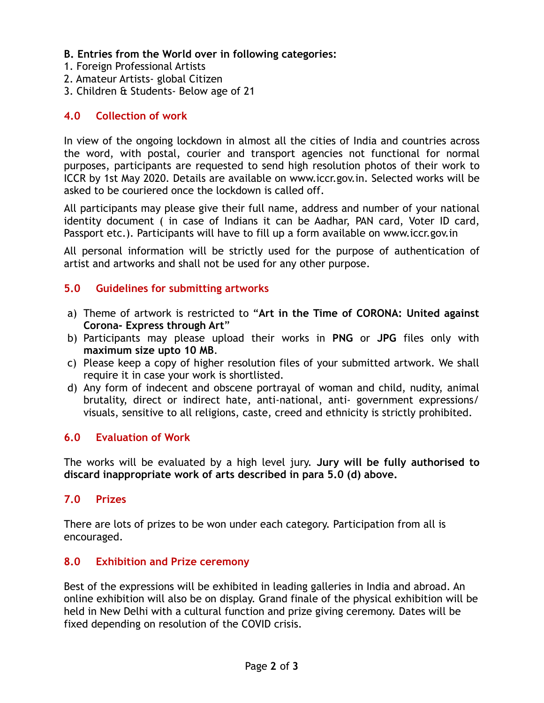- **B. Entries from the World over in following categories:**
- 1. Foreign Professional Artists
- 2. Amateur Artists- global Citizen
- 3. Children & Students- Below age of 21

# **4.0 Collection of work**

In view of the ongoing lockdown in almost all the cities of India and countries across the word, with postal, courier and transport agencies not functional for normal purposes, participants are requested to send high resolution photos of their work to ICCR by 1st May 2020. Details are available on [www.iccr.gov.in](http://www.iccr.gov.in/). Selected works will be asked to be couriered once the lockdown is called off.

All participants may please give their full name, address and number of your national identity document ( in case of Indians it can be Aadhar, PAN card, Voter ID card, Passport etc.). Participants will have to fill up a form available on www.iccr.gov.in

All personal information will be strictly used for the purpose of authentication of artist and artworks and shall not be used for any other purpose.

#### **5.0 Guidelines for submitting artworks**

- a) Theme of artwork is restricted to "**Art in the Time of CORONA: United against Corona- Express through Art**"
- b) Participants may please upload their works in **PNG** or **JPG** files only with **maximum size upto 10 MB**.
- c) Please keep a copy of higher resolution files of your submitted artwork. We shall require it in case your work is shortlisted.
- d) Any form of indecent and obscene portrayal of woman and child, nudity, animal brutality, direct or indirect hate, anti-national, anti- government expressions/ visuals, sensitive to all religions, caste, creed and ethnicity is strictly prohibited.

# **6.0 Evaluation of Work**

The works will be evaluated by a high level jury. **Jury will be fully authorised to discard inappropriate work of arts described in para 5.0 (d) above.**

#### **7.0 Prizes**

There are lots of prizes to be won under each category. Participation from all is encouraged.

#### **8.0 Exhibition and Prize ceremony**

Best of the expressions will be exhibited in leading galleries in India and abroad. An online exhibition will also be on display. Grand finale of the physical exhibition will be held in New Delhi with a cultural function and prize giving ceremony. Dates will be fixed depending on resolution of the COVID crisis.